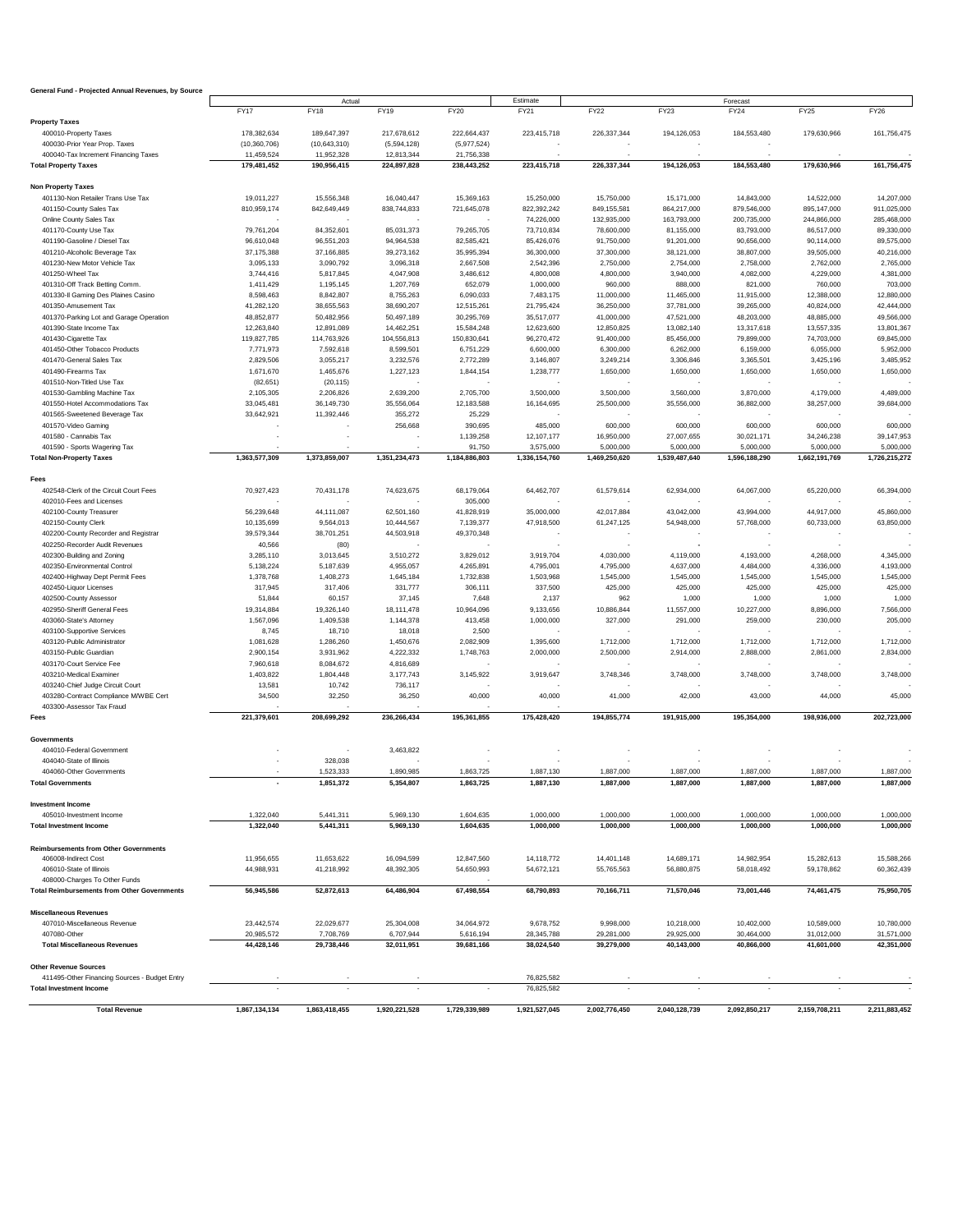| General Fund - Projected Annual Revenues, by Source |                |               |               |               |               |               |                        |                        |                        |               |  |
|-----------------------------------------------------|----------------|---------------|---------------|---------------|---------------|---------------|------------------------|------------------------|------------------------|---------------|--|
|                                                     |                | Actual        |               |               | Estimate      |               |                        | Forecast               |                        |               |  |
|                                                     | <b>FY17</b>    | FY18          | FY19          | <b>FY20</b>   | FY21          | FY22          | <b>FY23</b>            | <b>FY24</b>            | FY25                   | <b>FY26</b>   |  |
| <b>Property Taxes</b>                               |                |               |               |               |               |               |                        |                        |                        |               |  |
| 400010-Property Taxes                               | 178,382,634    | 189,647,397   | 217,678,612   | 222,664,437   | 223,415,718   | 226,337,344   | 194,126,053            | 184,553,480            | 179,630,966            | 161,756,475   |  |
| 400030-Prior Year Prop. Taxes                       | (10, 360, 706) | (10,643,310)  | (5,594,128)   | (5,977,524)   |               |               |                        |                        |                        |               |  |
| 400040-Tax Increment Financing Taxes                | 11,459,524     | 11,952,328    | 12,813,344    | 21,756,338    |               |               |                        |                        |                        |               |  |
| <b>Total Property Taxes</b>                         | 179,481,452    | 190,956,415   | 224,897,828   | 238,443,252   | 223,415,718   | 226,337,344   | 194,126,053            | 184,553,480            | 179,630,966            | 161,756,475   |  |
|                                                     |                |               |               |               |               |               |                        |                        |                        |               |  |
| <b>Non Property Taxes</b>                           |                |               |               |               |               |               |                        |                        |                        |               |  |
| 401130-Non Retailer Trans Use Tax                   | 19,011,227     | 15,556,348    | 16,040,447    | 15,369,163    | 15,250,000    | 15,750,000    | 15,171,000             | 14,843,000             | 14,522,000             | 14,207,000    |  |
| 401150-County Sales Tax                             | 810,959,174    | 842,649,449   | 838,744,833   | 721,645,078   | 822,392,242   | 849,155,581   | 864,217,000            | 879,546,000            | 895,147,000            | 911,025,000   |  |
| Online County Sales Tax                             |                |               |               |               | 74,226,000    | 132,935,000   | 163,793,000            | 200,735,000            | 244,866,000            | 285,468,000   |  |
| 401170-County Use Tax                               | 79,761,204     | 84,352,601    | 85,031,373    | 79,265,705    | 73,710,834    | 78,600,000    | 81,155,000             | 83,793,000             | 86,517,000             | 89,330,000    |  |
| 401190-Gasoline / Diesel Tax                        | 96,610,048     | 96,551,203    | 94,964,538    | 82,585,421    | 85,426,076    | 91,750,000    | 91,201,000             | 90,656,000             | 90,114,000             | 89,575,000    |  |
| 401210-Alcoholic Beverage Tax                       | 37, 175, 388   | 37,166,885    | 39,273,162    | 35,995,394    | 36,300,000    | 37,300,000    | 38,121,000             | 38,807,000             | 39,505,000             | 40,216,000    |  |
| 401230-New Motor Vehicle Tax                        | 3,095,133      | 3,090,792     | 3,096,318     | 2,667,508     | 2,542,396     | 2,750,000     | 2,754,000              | 2,758,000              | 2,762,000              | 2,765,000     |  |
| 401250-Wheel Tax                                    | 3,744,416      | 5,817,845     | 4,047,908     | 3,486,612     | 4,800,008     | 4,800,000     | 3,940,000              | 4,082,000              | 4,229,000              | 4,381,000     |  |
| 401310-Off Track Betting Comm.                      | 1,411,429      | 1,195,145     | 1,207,769     | 652,079       | 1,000,000     | 960,000       | 888,000                | 821,000                | 760,000                | 703,000       |  |
| 401330-Il Gaming Des Plaines Casino                 | 8,598,463      | 8,842,807     | 8,755,263     | 6,090,033     | 7,483,175     | 11,000,000    | 11,465,000             | 11,915,000             | 12,388,000             | 12,880,000    |  |
| 401350-Amusement Tax                                | 41,282,120     | 38,655,563    | 38,690,207    | 12,515,261    | 21,795,424    | 36,250,000    | 37,781,000             | 39,265,000             | 40,824,000             | 42,444,000    |  |
| 401370-Parking Lot and Garage Operation             | 48,852,877     | 50,482,956    | 50,497,189    | 30,295,769    | 35,517,077    | 41,000,000    | 47,521,000             | 48,203,000             | 48,885,000             | 49,566,000    |  |
| 401390-State Income Tax                             | 12,263,840     | 12,891,089    | 14,462,251    | 15,584,248    | 12,623,600    | 12,850,825    | 13,082,140             | 13,317,618             | 13,557,335             | 13,801,367    |  |
|                                                     |                |               |               |               |               |               |                        |                        |                        |               |  |
| 401430-Cigarette Tax                                | 119,827,785    | 114,763,926   | 104,556,813   | 150,830,641   | 96,270,472    | 91,400,000    | 85,456,000             | 79,899,000             | 74,703,000             | 69,845,000    |  |
| 401450-Other Tobacco Products                       | 7,771,973      | 7,592,618     | 8,599,501     | 6,751,229     | 6,600,000     | 6,300,000     | 6,262,000              | 6,159,000              | 6,055,000              | 5,952,000     |  |
| 401470-General Sales Tax                            | 2,829,506      | 3,055,217     | 3,232,576     | 2,772,289     | 3,146,807     | 3,249,214     | 3,306,846              | 3,365,501              | 3,425,196              | 3,485,952     |  |
| 401490-Firearms Tax                                 | 1,671,670      | 1,465,676     | 1,227,123     | 1,844,154     | 1,238,777     | 1,650,000     | 1,650,000              | 1,650,000              | 1,650,000              | 1,650,000     |  |
| 401510-Non-Titled Use Tax                           | (82, 651)      | (20, 115)     |               |               |               |               |                        |                        |                        |               |  |
| 401530-Gambling Machine Tax                         | 2,105,305      | 2,206,826     | 2,639,200     | 2,705,700     | 3,500,000     | 3,500,000     | 3,560,000              | 3,870,000              | 4,179,000              | 4,489,000     |  |
| 401550-Hotel Accommodations Tax                     | 33,045,481     | 36,149,730    | 35,556,064    | 12,183,588    | 16,164,695    | 25,500,000    | 35,556,000             | 36,882,000             | 38,257,000             | 39,684,000    |  |
| 401565-Sweetened Beverage Tax                       | 33,642,921     | 11,392,446    | 355,272       | 25,229        |               |               |                        |                        |                        |               |  |
| 401570-Video Gaming                                 |                |               | 256,668       | 390,695       | 485,000       | 600,000       | 600,000                | 600,000                | 600,000                | 600,000       |  |
| 401580 - Cannabis Tax                               |                |               |               | 1,139,258     | 12,107,177    | 16,950,000    | 27,007,655             | 30,021,171             | 34,246,238             | 39,147,953    |  |
| 401590 - Sports Wagering Tax                        |                |               |               | 91,750        | 3,575,000     | 5,000,000     | 5,000,000              | 5,000,000              | 5,000,000              | 5.000.000     |  |
| <b>Total Non-Property Taxes</b>                     | 1,363,577,309  | 1,373,859,007 | 1,351,234,473 | 1,184,886,803 | 1,336,154,760 | 1,469,250,620 | 1,539,487,640          | 1,596,188,290          | 1,662,191,769          | 1,726,215,272 |  |
|                                                     |                |               |               |               |               |               |                        |                        |                        |               |  |
| Fees                                                |                |               |               |               |               |               |                        |                        |                        |               |  |
| 402548-Clerk of the Circuit Court Fees              | 70,927,423     | 70,431,178    | 74,623,675    | 68,179,064    | 64,462,707    | 61,579,614    | 62,934,000             | 64,067,000             | 65,220,000             | 66,394,000    |  |
| 402010-Fees and Licenses                            |                |               |               | 305,000       |               |               |                        |                        |                        |               |  |
| 402100-County Treasurer                             | 56,239,648     | 44,111,087    | 62,501,160    | 41,828,919    | 35,000,000    | 42,017,884    | 43,042,000             | 43,994,000             | 44,917,000             | 45,860,000    |  |
| 402150-County Clerk                                 | 10,135,699     | 9,564,013     | 10,444,567    | 7,139,377     | 47,918,500    | 61,247,125    | 54,948,000             | 57,768,000             | 60,733,000             | 63,850,000    |  |
| 402200-County Recorder and Registrar                | 39,579,344     | 38,701,251    | 44,503,918    | 49,370,348    |               |               |                        |                        |                        |               |  |
| 402250-Recorder Audit Revenues                      | 40,566         | (80)          |               |               |               |               |                        |                        |                        |               |  |
| 402300-Building and Zoning                          |                |               |               | 3,829,012     | 3,919,704     | 4,030,000     |                        |                        | 4,268,000              | 4,345,000     |  |
|                                                     | 3,285,110      | 3,013,645     | 3,510,272     |               |               |               | 4,119,000              | 4,193,000              |                        |               |  |
| 402350-Environmental Control                        | 5,138,224      | 5,187,639     | 4,955,057     | 4,265,891     | 4,795,001     | 4,795,000     | 4,637,000              | 4,484,000              | 4,336,000              | 4,193,000     |  |
| 402400-Highway Dept Permit Fees                     | 1,378,768      | 1,408,273     | 1,645,184     | 1,732,838     | 1,503,968     | 1,545,000     | 1,545,000              | 1,545,000              | 1,545,000              | 1,545,000     |  |
| 402450-Liquor Licenses                              | 317,945        | 317,406       | 331,777       | 306,111       | 337,500       | 425,000       | 425,000                | 425,000                | 425,000                | 425,000       |  |
| 402500-County Assessor                              | 51,844         | 60,157        | 37,145        | 7,648         | 2,137         | 962           | 1,000                  | 1,000                  | 1,000                  | 1,000         |  |
| 402950-Sheriff General Fees                         | 19,314,884     | 19,326,140    | 18,111,478    | 10,964,096    | 9,133,656     | 10,886,844    | 11,557,000             | 10,227,000             | 8,896,000              | 7,566,000     |  |
| 403060-State's Attorney                             | 1,567,096      | 1,409,538     | 1,144,378     | 413,458       | 1,000,000     | 327,000       | 291,000                | 259,000                | 230,000                | 205,000       |  |
| 403100-Supportive Services                          | 8,745          | 18,710        | 18,018        | 2,500         |               |               |                        |                        |                        |               |  |
| 403120-Public Administrator                         | 1,081,628      | 1,286,260     | 1,450,676     | 2,082,909     | 1,395,600     | 1,712,000     | 1,712,000              | 1,712,000              | 1,712,000              | 1,712,000     |  |
| 403150-Public Guardian                              | 2,900,154      | 3,931,962     | 4,222,332     | 1,748,763     | 2,000,000     | 2,500,000     | 2,914,000              | 2,888,000              | 2,861,000              | 2,834,000     |  |
| 403170-Court Service Fee                            | 7,960,618      | 8,084,672     | 4,816,689     |               |               |               |                        |                        |                        |               |  |
| 403210-Medical Examiner                             | 1,403,822      | 1,804,448     | 3,177,743     | 3,145,922     | 3,919,647     | 3,748,346     | 3,748,000              | 3,748,000              | 3,748,000              | 3,748,000     |  |
| 403240-Chief Judge Circuit Court                    | 13,581         | 10,742        | 736,117       |               |               |               |                        |                        |                        |               |  |
|                                                     |                |               |               |               |               |               |                        |                        |                        |               |  |
| 403280-Contract Compliance M/WBE Cert               | 34,500         | 32,250        | 36,250        | 40,000        | 40,000        | 41,000        | 42,000                 | 43,000                 | 44,000                 | 45,000        |  |
| 403300-Assessor Tax Fraud                           |                |               |               |               |               |               |                        |                        |                        |               |  |
| Fees                                                | 221,379,601    | 208,699,292   | 236.266.434   | 195,361,855   | 175,428,420   | 194.855.774   | 191,915,000            | 195,354,000            | 198,936,000            | 202,723,000   |  |
| Governments                                         |                |               |               |               |               |               |                        |                        |                        |               |  |
|                                                     |                |               |               |               |               |               |                        |                        |                        |               |  |
| 404010-Federal Government                           |                |               | 3,463,822     |               |               |               |                        |                        |                        |               |  |
| 404040-State of Illinois                            |                | 328,038       |               |               |               |               |                        |                        |                        |               |  |
| 404060-Other Governments                            |                | 1,523,333     | 1,890,985     | 1,863,725     | 1,887,130     | 1,887,000     | 1,887,000<br>1.887.000 | 1,887,000<br>1.887.000 | 1,887,000<br>1.887.000 | 1,887,000     |  |
| <b>Total Governments</b>                            |                | 1,851,372     | 5,354,807     | 1,863,725     | 1,887,130     | 1,887,000     |                        |                        |                        | 1,887,000     |  |
| <b>Investment Income</b>                            |                |               |               |               |               |               |                        |                        |                        |               |  |
| 405010-Investment Income                            | 1,322,040      | 5,441,311     | 5,969,130     | 1,604,635     | 1,000,000     | 1,000,000     | 1,000,000              | 1,000,000              | 1,000,000              | 1,000,000     |  |
| <b>Total Investment Income</b>                      | 1,322,040      | 5,441,311     | 5,969,130     | 1,604,635     | 1,000,000     | 1,000,000     | 1,000,000              | 1,000,000              | 1,000,000              | 1,000,000     |  |
|                                                     |                |               |               |               |               |               |                        |                        |                        |               |  |
| <b>Reimbursements from Other Governments</b>        |                |               |               |               |               |               |                        |                        |                        |               |  |
| 406008-Indirect Cost                                | 11,956,655     | 11,653,622    | 16,094,599    | 12,847,560    | 14,118,772    | 14,401,148    | 14,689,171             | 14,982,954             | 15,282,613             | 15,588,266    |  |
| 406010-State of Illinois                            | 44,988,931     | 41,218,992    | 48,392,305    | 54,650,993    | 54,672,121    | 55,765,563    | 56,880,875             | 58,018,492             | 59,178,862             | 60,362,439    |  |
| 408000-Charges To Other Funds                       |                |               |               |               |               |               |                        |                        |                        |               |  |
|                                                     |                |               |               |               |               |               |                        | 73,001,446             |                        |               |  |
| <b>Total Reimbursements from Other Governments</b>  | 56,945,586     | 52,872,613    | 64,486,904    | 67,498,554    | 68,790,893    | 70,166,711    | 71,570,046             |                        | 74,461,475             | 75,950,705    |  |
| <b>Miscellaneous Revenues</b>                       |                |               |               |               |               |               |                        |                        |                        |               |  |
| 407010-Miscellaneous Revenue                        | 23,442,574     | 22,029,677    | 25,304,008    | 34,064,972    | 9,678,752     | 9,998,000     | 10,218,000             | 10,402,000             | 10,589,000             | 10,780,000    |  |
|                                                     |                |               |               |               |               |               |                        |                        |                        |               |  |
| 407080-Other                                        | 20,985,572     | 7,708,769     | 6,707,944     | 5,616,194     | 28,345,788    | 29,281,000    | 29,925,000             | 30,464,000             | 31,012,000             | 31,571,000    |  |
| <b>Total Miscellaneous Revenues</b>                 | 44,428,146     | 29,738,446    | 32,011,951    | 39,681,166    | 38,024,540    | 39,279,000    | 40,143,000             | 40,866,000             | 41,601,000             | 42,351,000    |  |
|                                                     |                |               |               |               |               |               |                        |                        |                        |               |  |
| <b>Other Revenue Sources</b>                        |                |               |               |               |               |               |                        |                        |                        |               |  |
| 411495-Other Financing Sources - Budget Entry       |                |               |               |               | 76,825,582    |               |                        |                        |                        |               |  |
| <b>Total Investment Income</b>                      |                |               |               |               | 76,825,582    |               |                        |                        |                        |               |  |
|                                                     |                |               |               |               |               |               |                        |                        |                        |               |  |
| <b>Total Revenue</b>                                | 1,867,134,134  | 1,863,418,455 | 1,920,221,528 | 1,729,339,989 | 1,921,527,045 | 2,002,776,450 | 2,040,128,739          | 2,092,850,217          | 2,159,708,211          | 2,211,883,452 |  |